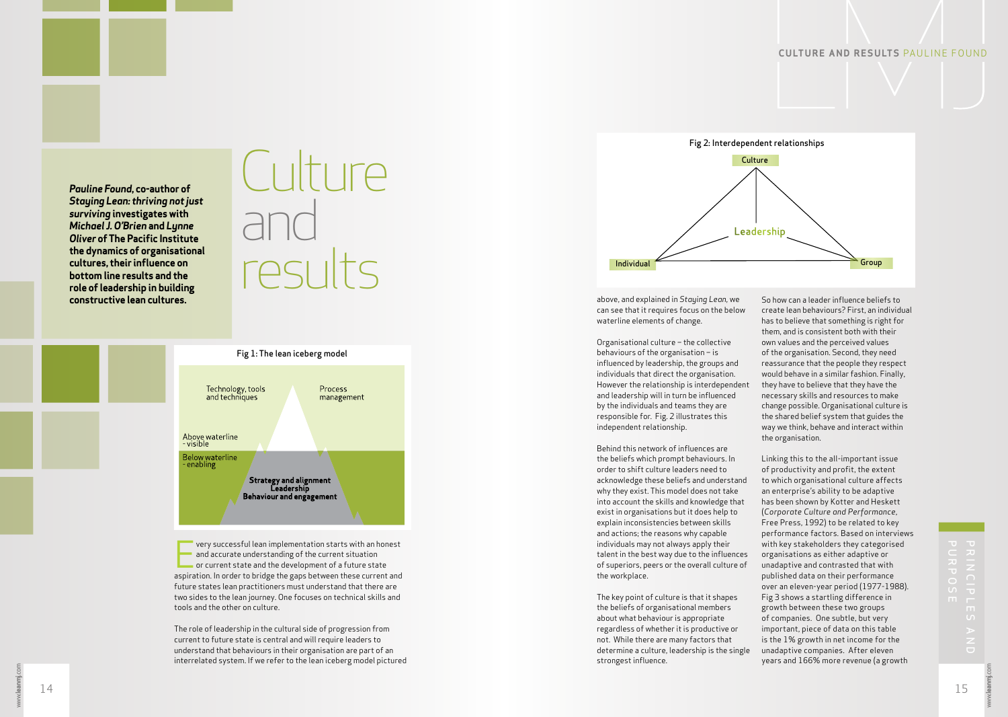Pauline Found, co-author of **Staying Lean: thriving not just** surviving investigates with Michael J. O'Brien and Lynne **Oliver of The Pacific Institute** the dynamics of organisational cultures, their influence on bottom line results and the role of leadership in building constructive lean cultures.





very successful lean implementation starts with an honest and accurate understanding of the current situation or current state and the development of a future state aspiration. In order to bridge the gaps between these current and future states lean practitioners must understand that there are two sides to the lean journey. One focuses on technical skills and tools and the other on culture.

The role of leadership in the cultural side of progression from current to future state is central and will require leaders to understand that behaviours in their organisation are part of an interrelated system. If we refer to the lean iceberg model pictured



above, and explained in Staying Lean, we can see that it requires focus on the below waterline elements of change.

Organisational culture - the collective behaviours of the organisation  $-$  is influenced by leadership, the groups and individuals that direct the organisation. However the relationship is interdependent and leadership will in turn be influenced by the individuals and teams they are responsible for. Fig. 2 illustrates this independent relationship.

Behind this network of influences are the beliefs which prompt behaviours. In order to shift culture leaders need to acknowledge these beliefs and understand why they exist. This model does not take into account the skills and knowledge that exist in organisations but it does help to explain inconsistencies between skills and actions; the reasons why capable individuals may not always apply their talent in the best way due to the influences of superiors, peers or the overall culture of the workplace.

The key point of culture is that it shapes the beliefs of organisational members about what behaviour is appropriate regardless of whether it is productive or not. While there are many factors that determine a culture, leadership is the single strongest influence.

So how can a leader influence beliefs to create lean behaviours? First, an individual has to believe that something is right for them, and is consistent both with their own values and the perceived values of the organisation. Second, they need reassurance that the people they respect would behave in a similar fashion. Finally, they have to believe that they have the necessary skills and resources to make change possible. Organisational culture is the shared belief system that guides the way we think, behave and interact within the organisation.

Linking this to the all-important issue of productivity and profit, the extent to which organisational culture affects an enterprise's ability to be adaptive has been shown by Kotter and Heskett (Corporate Culture and Performance, Free Press, 1992) to be related to key performance factors. Based on interviews with key stakeholders they categorised organisations as either adaptive or unadaptive and contrasted that with published data on their performance over an eleven-year period (1977-1988). Fig 3 shows a startling difference in growth between these two groups of companies. One subtle, but very important, piece of data on this table is the 1% growth in net income for the unadaptive companies. After eleven years and 166% more revenue (a growth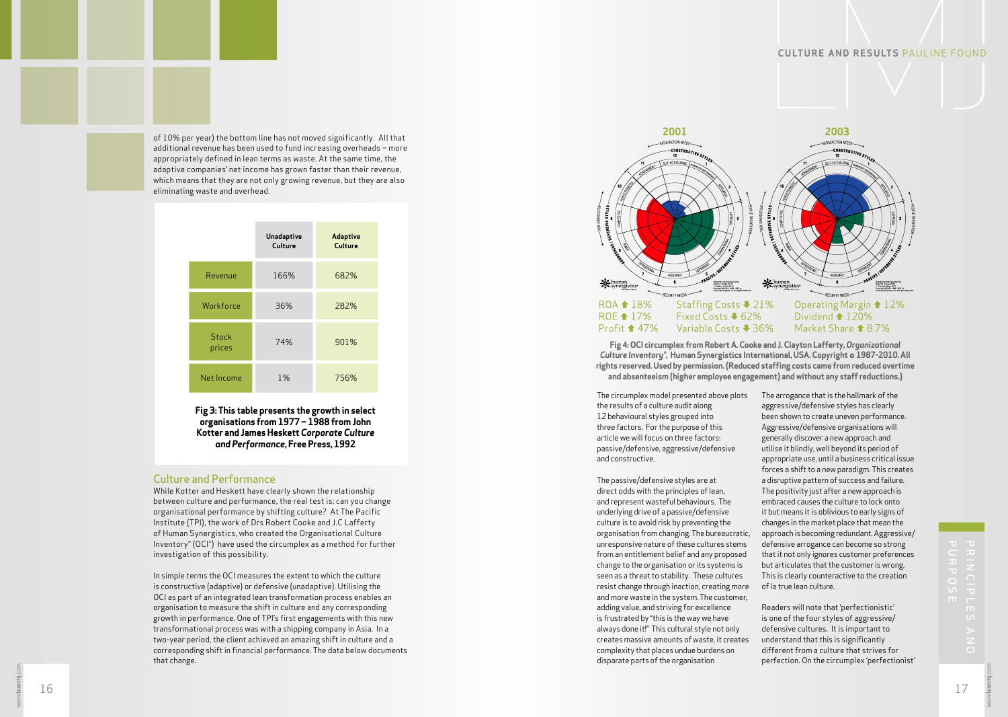of 10% per year) the bottom line has not moved significantly. All that additional revenue has been used to fund increasing overheads - more appropriately defined in lean terms as waste. At the same time, the adaptive companies' net income has grown faster than their revenue, which means that they are not only growing revenue, but they are also eliminating waste and overhead.

|                        | Unadaptive<br>Culture | Adaptive<br>Culture |
|------------------------|-----------------------|---------------------|
| Revenue                | 166%                  | 682%                |
| Workforce              | 36%                   | 282%                |
| <b>Stock</b><br>prices | 74%                   | 901%                |
| Net Income             | 1%                    | 756%                |

Fig 3: This table presents the growth in select organisations from 1977 - 1988 from John Kotter and James Heskett Corporate Culture and Performance, Free Press, 1992

## **Culture and Performance**

While Kotter and Heskett have clearly shown the relationship between culture and performance, the real test is: can you change organisational performance by shifting culture? At The Pacific Institute (TPI), the work of Drs Robert Cooke and J.C Lafferty of Human Synergistics, who created the Organisational Culture Inventory® (OCI®) have used the circumplex as a method for further investigation of this possibility.

In simple terms the OCI measures the extent to which the culture is constructive (adaptive) or defensive (unadaptive). Utilising the OCI as part of an integrated lean transformation process enables an organisation to measure the shift in culture and any corresponding growth in performance. One of TPI's first engagements with this new transformational process was with a shipping company in Asia. In a two-year period, the client achieved an amazing shift in culture and a corresponding shift in financial performance. The data below documents that change.



Fig 4: OCI circumplex from Robert A. Cooke and J. Clayton Lafferty, Organizational Culture Inventory<sup>®</sup>, Human Synergistics International, USA. Copyright © 1987-2010. All rights reserved. Used by permission. (Reduced staffing costs came from reduced overtime and absenteeism (higher employee engagement) and without any staff reductions.)

The circumplex model presented above plots the results of a culture audit along 12 behavioural styles grouped into three factors. For the purpose of this article we will focus on three factors: passive/defensive, aggressive/defensive and constructive.

The passive/defensive styles are at direct odds with the principles of lean, and represent wasteful behaviours. The underlying drive of a passive/defensive culture is to avoid risk by preventing the organisation from changing. The bureaucratic, unresponsive nature of these cultures stems from an entitlement belief and any proposed change to the organisation or its systems is seen as a threat to stability. These cultures resist change through inaction, creating more and more waste in the system. The customer, adding value, and striving for excellence is frustrated by "this is the way we have always done it!" This cultural style not only creates massive amounts of waste, it creates complexity that places undue burdens on disparate parts of the organisation

The arrogance that is the hallmark of the aggressive/defensive styles has clearly been shown to create uneven performance. Aggressive/defensive organisations will generally discover a new approach and utilise it blindly, well beyond its period of appropriate use, until a business critical issue forces a shift to a new paradigm. This creates a disruptive pattern of success and failure. The positivity just after a new approach is embraced causes the culture to lock onto it but means it is oblivious to early signs of changes in the market place that mean the approach is becoming redundant. Aggressive/ defensive arrogance can become so strong that it not only ignores customer preferences but articulates that the customer is wrong. This is clearly counteractive to the creation of la true lean culture.

Readers will note that 'perfectionistic' is one of the four styles of aggressive/ defensive cultures. It is important to understand that this is significantly different from a culture that strives for perfection. On the circumplex 'perfectionist'